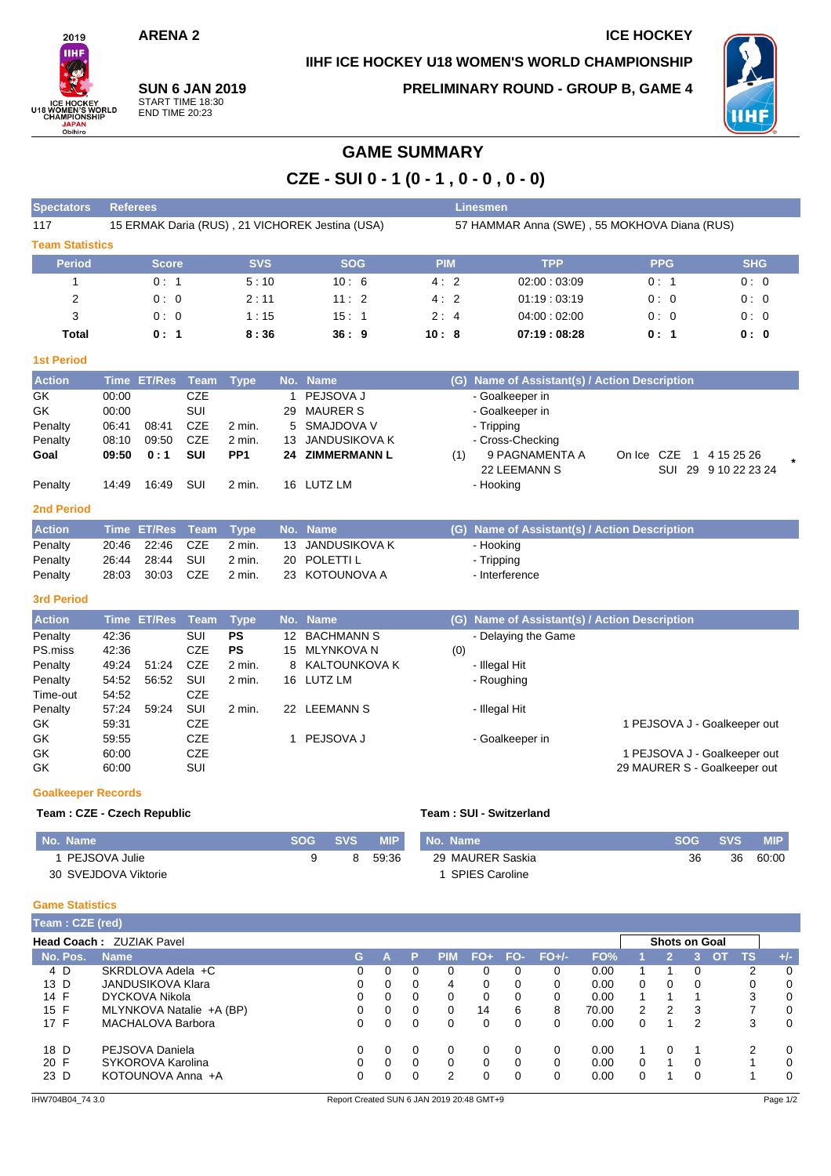## **ARENA 2 ICE HOCKEY**

**IIHF ICE HOCKEY U18 WOMEN'S WORLD CHAMPIONSHIP**

2019 **THE** ICE HOCKEY<br>U18 WOMEN'S WORLD<br>CHAMPIONSHIP Obihiro

**SUN 6 JAN 2019** START TIME 18:30 END TIME 20:23

**Spectators Referees Linesmen**

**PRELIMINARY ROUND - GROUP B, GAME 4**



# **GAME SUMMARY**

**CZE - SUI 0 - 1 (0 - 1 , 0 - 0 , 0 - 0)**

| 117                    | 15 ERMAK Daria (RUS), 21 VICHOREK Jestina (USA) |            |            | 57 HAMMAR Anna (SWE), 55 MOKHOVA Diana (RUS) |             |            |            |  |  |  |  |
|------------------------|-------------------------------------------------|------------|------------|----------------------------------------------|-------------|------------|------------|--|--|--|--|
| <b>Team Statistics</b> |                                                 |            |            |                                              |             |            |            |  |  |  |  |
| <b>Period</b>          | <b>Score</b>                                    | <b>SVS</b> | <b>SOG</b> | <b>PIM</b>                                   | <b>TPP</b>  | <b>PPG</b> | <b>SHG</b> |  |  |  |  |
|                        | 0:1                                             | 5:10       | 10:6       | 4:2                                          | 02:00:03:09 | 0:1        | 0:0        |  |  |  |  |
| 2                      | 0:0                                             | 2:11       | 11:2       | 4:2                                          | 01:19:03:19 | 0:0        | 0:0        |  |  |  |  |
| 3                      | 0:0                                             | 1:15       | 15:1       | 2:4                                          | 04:00:02:00 | 0:0        | 0:0        |  |  |  |  |
| Total                  | 0:1                                             | 8:36       | 36:9       | 10:8                                         | 07:19:08:28 | 0:1        | 0:0        |  |  |  |  |

#### **1st Period**

| <b>Action</b> |       | Time ET/Res Team Type |     |                 |    | No. Name         | (G) Name of Assistant(s) / Action Description       |  |
|---------------|-------|-----------------------|-----|-----------------|----|------------------|-----------------------------------------------------|--|
| GK            | 00:00 |                       | CZE |                 |    | PEJSOVA J        | - Goalkeeper in                                     |  |
| GK            | 00:00 |                       | SUI |                 | 29 | MAURER S         | - Goalkeeper in                                     |  |
| Penalty       | 06:41 | 08:41                 | CZE | 2 min.          |    | 5 SMAJDOVA V     | - Tripping                                          |  |
| Penalty       | 08:10 | 09:50                 | CZE | $2$ min.        |    | 13 JANDUSIKOVA K | - Cross-Checking                                    |  |
| Goal          | 09:50 | 0:1                   | SUI | PP <sub>1</sub> |    | 24 ZIMMERMANN L  | 9 PAGNAMENTA A<br>On Ice CZE<br>1 4 15 25 26<br>(1) |  |
|               |       |                       |     |                 |    |                  | 29 9 10 22 23 24<br>22 LEEMANN S<br>SUI             |  |
| Penalty       | 14:49 | 16:49                 | SUI | 2 min.          |    | 16 LUTZ LM       | - Hooking                                           |  |
| .             |       |                       |     |                 |    |                  |                                                     |  |

#### **2nd Period**

| <b>Action</b> |                 | Time ET/Res Team Type No. Name |                  | (G) Name of Assistant(s) / Action Description |
|---------------|-----------------|--------------------------------|------------------|-----------------------------------------------|
| Penalty       | 20:46 22:46 CZE | 2 min.                         | 13 JANDUSIKOVA K | - Hooking                                     |
| Penalty       |                 | $2$ min.                       | 20 POLETTI L     | - Tripping                                    |
| Penalty       | 28:03 30:03 CZE | 2 min.                         | 23 KOTOUNOVA A   | - Interference                                |

### **3rd Period**

| <b>Action</b> |       | Time ET/Res | Team       | Type      |     | No. Name          |     | (G) Name of Assistant(s) / Action Description |
|---------------|-------|-------------|------------|-----------|-----|-------------------|-----|-----------------------------------------------|
| Penalty       | 42:36 |             | SUI        | <b>PS</b> | 12  | <b>BACHMANN S</b> |     | - Delaying the Game                           |
| PS.miss       | 42:36 |             | <b>CZE</b> | <b>PS</b> | 15  | MLYNKOVA N        | (0) |                                               |
| Penalty       | 49:24 | 51:24       | CZE        | 2 min.    |     | 8 KALTOUNKOVA K   |     | - Illegal Hit                                 |
| Penalty       | 54:52 | 56.52       | SUI        | 2 min.    |     | 16 LUTZ LM        |     | - Roughing                                    |
| Time-out      | 54:52 |             | CZE        |           |     |                   |     |                                               |
| Penalty       | 57:24 | 59.24       | SUI        | $2$ min.  | 22. | LEEMANN S         |     | - Illegal Hit                                 |
| GK.           | 59:31 |             | CZE        |           |     |                   |     | 1 PEJSOVA J - Goalkeeper out                  |
| GK            | 59:55 |             | <b>CZE</b> |           |     | PEJSOVA J         |     | - Goalkeeper in                               |
| GK            | 60:00 |             | <b>CZE</b> |           |     |                   |     | PEJSOVA J - Goalkeeper out                    |
| GK            | 60:00 |             | SUI        |           |     |                   |     | 29 MAURER S - Goalkeeper out                  |

#### **Goalkeeper Records**

### **Team : CZE - Czech Republic Team : SUI - Switzerland**

| No. Name             | SOG A | <b>SVS</b> | <b>MIP</b> | No. Name              | SOG A | <b>SVS</b> | <b>MIP</b> |
|----------------------|-------|------------|------------|-----------------------|-------|------------|------------|
| PEJSOVA Julie        |       | 8          | 59:36      | 29 MAURER Saskia      | 36    | 36         | 60:00      |
| 30 SVEJDOVA Viktorie |       |            |            | <b>SPIES Caroline</b> |       |            |            |

#### **Game Statistics**

| Team: CZE (red)                                         |                          |          |          |          |            |          |          |         |       |          |          |   |    |    |       |
|---------------------------------------------------------|--------------------------|----------|----------|----------|------------|----------|----------|---------|-------|----------|----------|---|----|----|-------|
| <b>Head Coach: ZUZIAK Pavel</b><br><b>Shots on Goal</b> |                          |          |          |          |            |          |          |         |       |          |          |   |    |    |       |
| No. Pos.                                                | <b>Name</b>              | G.       |          | P        | <b>PIM</b> | $FO+$    | FO-      | $FO+/-$ | FO%   |          |          | 3 | OT | TS | $+/-$ |
| 4 D                                                     | SKRDLOVA Adela +C        | $\Omega$ | 0        | 0        | 0          | 0        | 0        | 0       | 0.00  |          |          |   |    | 2  | 0     |
| 13 D                                                    | <b>JANDUSIKOVA Klara</b> | 0        | 0        | $\Omega$ | 4          | $\Omega$ | 0        | 0       | 0.00  | $\Omega$ | 0        | 0 |    | 0  | 0     |
| 14 F                                                    | DYCKOVA Nikola           | 0        | 0        | 0        | 0          | 0        | 0        |         | 0.00  |          |          |   |    | 3  | 0     |
| 15 F                                                    | MLYNKOVA Natalie +A (BP) | 0        | 0        | $\Omega$ | 0          | 14       | 6        | 8       | 70.00 | 2        | 2        | 3 |    | 7  | 0     |
| 17 F                                                    | <b>MACHALOVA Barbora</b> | 0        | 0        | 0        | 0          | 0        |          | 0       | 0.00  | $\Omega$ |          | 2 |    | 3  | 0     |
| 18 D                                                    | PEJSOVA Daniela          | $\Omega$ | $\Omega$ | $\Omega$ | 0          | $\Omega$ | $\Omega$ |         | 0.00  |          | $\Omega$ |   |    | 2  | 0     |
| 20 F                                                    | SYKOROVA Karolina        | $\Omega$ | 0        | $\Omega$ | 0          | $\Omega$ | $\Omega$ |         | 0.00  | $\Omega$ |          | 0 |    |    | 0     |
| 23 D                                                    | KOTOUNOVA Anna +A        | $\Omega$ | 0        | 0        | 2          | $\Omega$ | $\Omega$ |         | 0.00  |          |          | 0 |    |    | 0     |